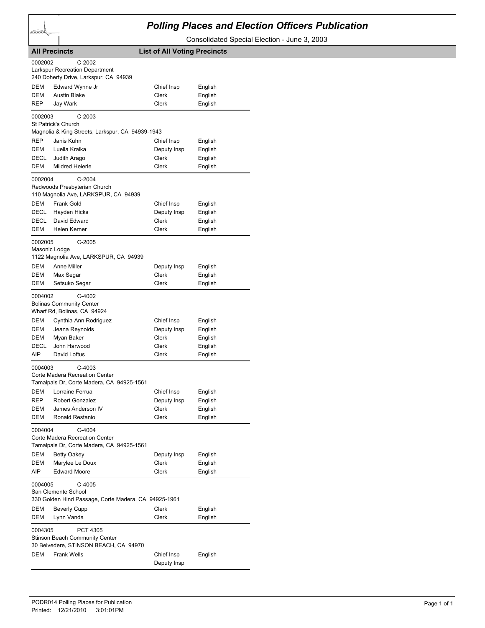## *Polling Places and Election Officers Publication*

Consolidated Special Election - June 3, 2003

| <b>All Precincts</b>                                                           |                                                      |                           | <b>List of All Voting Precincts</b> |  |
|--------------------------------------------------------------------------------|------------------------------------------------------|---------------------------|-------------------------------------|--|
| 0002002<br>$C-2002$                                                            |                                                      |                           |                                     |  |
| <b>Larkspur Recreation Department</b><br>240 Doherty Drive, Larkspur, CA 94939 |                                                      |                           |                                     |  |
| DEM                                                                            | Edward Wynne Jr                                      | Chief Insp                | English                             |  |
| <b>DEM</b>                                                                     | <b>Austin Blake</b>                                  | Clerk                     | English                             |  |
| REP                                                                            | Jay Wark                                             | Clerk                     | English                             |  |
| $C-2003$<br>0002003<br>St Patrick's Church                                     |                                                      |                           |                                     |  |
| Magnolia & King Streets, Larkspur, CA 94939-1943                               |                                                      |                           |                                     |  |
| <b>REP</b>                                                                     | Janis Kuhn                                           | Chief Insp                | English                             |  |
| DEM                                                                            | Luella Kralka                                        | Deputy Insp               | English                             |  |
| <b>DECL</b>                                                                    | Judith Arago                                         | Clerk                     | English                             |  |
| DEM                                                                            | Mildred Heierle                                      | Clerk                     | English                             |  |
| 0002004<br>$C-2004$<br>Redwoods Presbyterian Church                            |                                                      |                           |                                     |  |
| 110 Magnolia Ave, LARKSPUR, CA 94939                                           |                                                      |                           |                                     |  |
| DEM                                                                            | Frank Gold                                           | Chief Insp                | English                             |  |
| DECL                                                                           | Hayden Hicks                                         | Deputy Insp               | English                             |  |
| DECL                                                                           | David Edward                                         | Clerk                     | English                             |  |
| <b>DEM</b>                                                                     | Helen Kerner                                         | Clerk                     | English                             |  |
| 0002005<br>$C-2005$                                                            |                                                      |                           |                                     |  |
| Masonic Lodge<br>1122 Magnolia Ave, LARKSPUR, CA 94939                         |                                                      |                           |                                     |  |
| DEM                                                                            | Anne Miller                                          | Deputy Insp               | English                             |  |
| DEM                                                                            | Max Segar                                            | Clerk                     | English                             |  |
| DEM                                                                            | Setsuko Segar                                        | Clerk                     | English                             |  |
| C-4002<br>0004002                                                              |                                                      |                           |                                     |  |
| <b>Bolinas Community Center</b><br>Wharf Rd, Bolinas, CA 94924                 |                                                      |                           |                                     |  |
| DEM                                                                            | Cynthia Ann Rodriguez                                | Chief Insp                | English                             |  |
| <b>DEM</b>                                                                     | Jeana Reynolds                                       | Deputy Insp               | English                             |  |
| DEM                                                                            | Myan Baker                                           | Clerk                     | English                             |  |
| DECL                                                                           | John Harwood                                         | Clerk                     | English                             |  |
| AIP                                                                            | David Loftus                                         | Clerk                     | English                             |  |
| $C-4003$<br>0004003                                                            |                                                      |                           |                                     |  |
| Corte Madera Recreation Center<br>Tamalpais Dr, Corte Madera, CA 94925-1561    |                                                      |                           |                                     |  |
| DEM                                                                            | Lorraine Ferrua                                      | Chief Insp                | English                             |  |
| REP                                                                            | Robert Gonzalez                                      | Deputy Insp               | English                             |  |
| DEM                                                                            | James Anderson IV                                    | Clerk                     | English                             |  |
| DEM                                                                            | Ronald Restanio                                      | Clerk                     | English                             |  |
| 0004004<br>$C-4004$                                                            |                                                      |                           |                                     |  |
| Corte Madera Recreation Center<br>Tamalpais Dr, Corte Madera, CA 94925-1561    |                                                      |                           |                                     |  |
| <b>DEM</b>                                                                     | <b>Betty Oakey</b>                                   | Deputy Insp               | English                             |  |
| DEM                                                                            | Marylee Le Doux                                      | Clerk                     | English                             |  |
| AIP                                                                            | <b>Edward Moore</b>                                  | Clerk                     | English                             |  |
| 0004005<br>C-4005<br>San Clemente School                                       |                                                      |                           |                                     |  |
|                                                                                | 330 Golden Hind Passage, Corte Madera, CA 94925-1961 |                           |                                     |  |
| DEM                                                                            | Beverly Cupp                                         | Clerk                     | English                             |  |
| DEM                                                                            | Lynn Vanda                                           | Clerk                     | English                             |  |
| PCT 4305<br>0004305<br><b>Stinson Beach Community Center</b>                   |                                                      |                           |                                     |  |
|                                                                                | 30 Belvedere, STINSON BEACH, CA 94970                |                           |                                     |  |
| DEM                                                                            | <b>Frank Wells</b>                                   | Chief Insp<br>Deputy Insp | English                             |  |